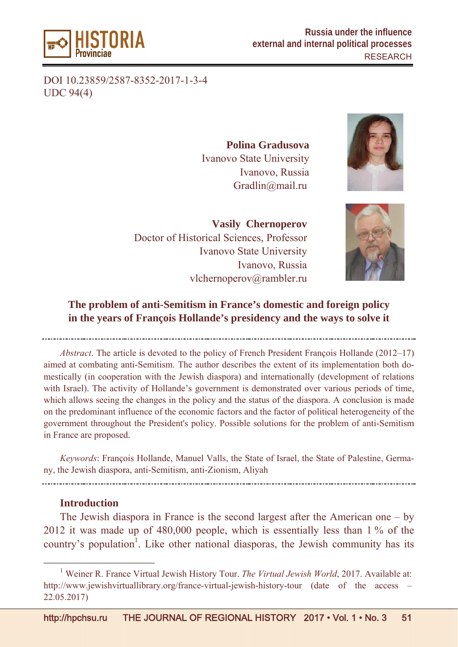

DOI 10.23859/2587-8352-2017-1-3-4 UDC 94( (4)

Ivanovo State University **Polin na Gradu sova** Ivanovo, Russia Gradlin@mail.ru



Doctor of Historical Sciences, Professor Ivanovo State University vlchernoperov@rambler.ru **Vasily Chernoperov** Ivanovo, Russia



# The problem of anti-Semitism in France's domestic and foreign policy in the years of François Hollande's presidency and the ways to solve it

*Abstract*. The article is devoted to the policy of French President François Hollande (2012–17) aimed at combating anti-Semitism. The author describes the extent of its implementation both domestically (in cooperation with the Jewish diaspora) and internationally (development of relations with Israel). The activity of Hollande's government is demonstrated over various periods of time, which allows seeing the changes in the policy and the status of the diaspora. A conclusion is made on the predominant influence of the economic factors and the factor of political heterogeneity of the government throughout the President's policy. Possible solutions for the problem of anti-Semitism in France are proposed. ) ns<br>e, de<br>he<br>m

Keywords: François Hollande, Manuel Valls, the State of Israel, the State of Palestine, Germany, the Jewish diaspora, anti-Semitism, anti-Zionism, Aliyah

#### Introduction

 $\overline{a}$ 

 $\overline{a}$ 

The Jewish diaspora in France is the second largest after the American one – by 2012 it was made up of  $480,000$  people, which is essentially less than 1% of the country's population<sup>1</sup>. Like other national diasporas, the Jewish community has its y<br>le<br>ts

 $\overline{\phantom{0}1}$ Weiner R. France Virtual Jewish History Tour. *The Virtual Jewish World*, 2017. Available at: http://www.jewishvirtuallibrary.org/france-virtual-jewish-history-tour (date of the access – 22.05.2017 7)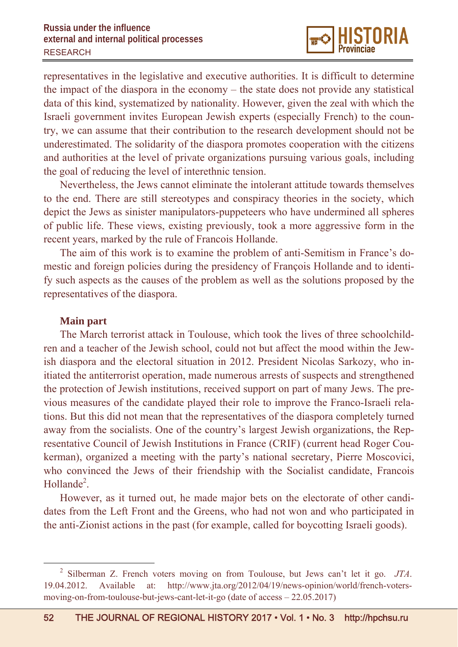representatives in the legislative and executive authorities. It is difficult to determine the impact of the diaspora in the economy – the state does not provide any statistical data of this kind, systematized by nationality. However, given the zeal with which the Israeli government invites European Jewish experts (especially French) to the country, we can assume that their contribution to the research development should not be underestimated. The solidarity of the diaspora promotes cooperation with the citizens and authorities at the level of private organizations pursuing various goals, including the goal of reducing the level of interethnic tension.

Nevertheless, the Jews cannot eliminate the intolerant attitude towards themselves to the end. There are still stereotypes and conspiracy theories in the society, which depict the Jews as sinister manipulators-puppeteers who have undermined all spheres of public life. These views, existing previously, took a more aggressive form in the recent years, marked by the rule of Francois Hollande.

The aim of this work is to examine the problem of anti-Semitism in France's domestic and foreign policies during the presidency of François Hollande and to identify such aspects as the causes of the problem as well as the solutions proposed by the representatives of the diaspora.

### **Main part**

The March terrorist attack in Toulouse, which took the lives of three schoolchildren and a teacher of the Jewish school, could not but affect the mood within the Jewish diaspora and the electoral situation in 2012. President Nicolas Sarkozy, who initiated the antiterrorist operation, made numerous arrests of suspects and strengthened the protection of Jewish institutions, received support on part of many Jews. The previous measures of the candidate played their role to improve the Franco-Israeli relations. But this did not mean that the representatives of the diaspora completely turned away from the socialists. One of the country's largest Jewish organizations, the Representative Council of Jewish Institutions in France (CRIF) (current head Roger Coukerman), organized a meeting with the party's national secretary, Pierre Moscovici, who convinced the Jews of their friendship with the Socialist candidate, Francois Hollande<sup>2</sup>.

However, as it turned out, he made major bets on the electorate of other candidates from the Left Front and the Greens, who had not won and who participated in the anti-Zionist actions in the past (for example, called for boycotting Israeli goods).

 <sup>2</sup> Silberman Z. French voters moving on from Toulouse, but Jews can't let it go. *JTA*. 19.04.2012. Available at: http://www.jta.org/2012/04/19/news-opinion/world/french-votersmoving-on-from-toulouse-but-jews-cant-let-it-go (date of access – 22.05.2017)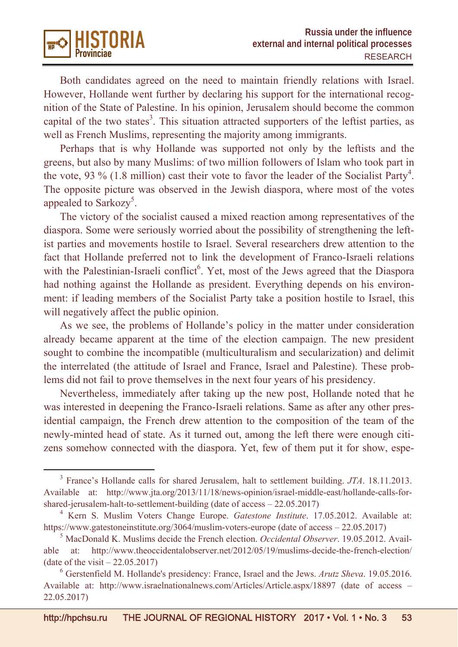

Both candidates agreed on the need to maintain friendly relations with Israel. However, Нollande went further by declaring his support for the international recognition of the State of Palestine. In his opinion, Jerusalem should become the common capital of the two states<sup>3</sup>. This situation attracted supporters of the leftist parties, as well as French Muslims, representing the majority among immigrants.

Perhaps that is why Hollande was supported not only by the leftists and the greens, but also by many Muslims: of two million followers of Islam who took part in the vote, 93 % (1.8 million) cast their vote to favor the leader of the Socialist Party<sup>4</sup>. The opposite picture was observed in the Jewish diaspora, where most of the votes appealed to Sarkozy<sup>5</sup>.

The victory of the socialist caused a mixed reaction among representatives of the diaspora. Some were seriously worried about the possibility of strengthening the leftist parties and movements hostile to Israel. Several researchers drew attention to the fact that Hollande preferred not to link the development of Franco-Israeli relations with the Palestinian-Israeli conflict<sup>6</sup>. Yet, most of the Jews agreed that the Diaspora had nothing against the Hollande as president. Everything depends on his environment: if leading members of the Socialist Party take a position hostile to Israel, this will negatively affect the public opinion.

As we see, the problems of Hollande's policy in the matter under consideration already became apparent at the time of the election campaign. The new president sought to combine the incompatible (multiculturalism and secularization) and delimit the interrelated (the attitude of Israel and France, Israel and Palestine). These problems did not fail to prove themselves in the next four years of his presidency.

Nevertheless, immediately after taking up the new post, Hollande noted that he was interested in deepening the Franco-Israeli relations. Same as after any other presidential campaign, the French drew attention to the composition of the team of the newly-minted head of state. As it turned out, among the left there were enough citizens somehow connected with the diaspora. Yet, few of them put it for show, espe-

 <sup>3</sup> France's Hollande calls for shared Jerusalem, halt to settlement building. *JTA*. 18.11.2013. Available at: http://www.jta.org/2013/11/18/news-opinion/israel-middle-east/hollande-calls-forshared-jerusalem-halt-to-settlement-building (date of access – 22.05.2017)

<sup>4</sup> Kern S. Muslim Voters Change Europe. *Gatestone Institute*. 17.05.2012. Available at: https://www.gatestoneinstitute.org/3064/muslim-voters-europe (date of access – 22.05.2017)

<sup>5</sup> MacDonald K. Muslims decide the French election. *Occidental Observer*. 19.05.2012. Available at: http://www.theoccidentalobserver.net/2012/05/19/muslims-decide-the-french-election/ (date of the visit  $-22.05.2017$ )

<sup>6</sup> Gerstenfield M. Hollande's presidency: France, Israel and the Jews. *Arutz Sheva*. 19.05.2016. Available at: http://www.israelnationalnews.com/Articles/Article.aspx/18897 (date of access – 22.05.2017)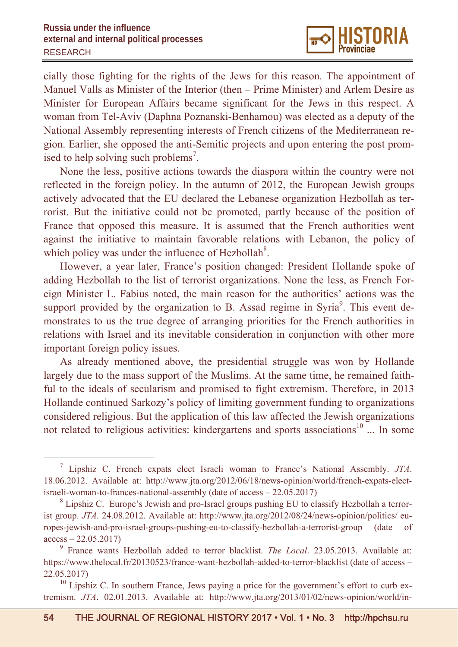

cially those fighting for the rights of the Jews for this reason. The appointment of Manuel Valls as Minister of the Interior (then – Prime Minister) and Arlem Desire as Minister for European Affairs became significant for the Jews in this respect. A woman from Tel-Aviv (Daphna Poznanski-Benhamou) was elected as a deputy of the National Assembly representing interests of French citizens of the Mediterranean region. Earlier, she opposed the anti-Semitic projects and upon entering the post promised to help solving such problems<sup>7</sup>.

None the less, positive actions towards the diaspora within the country were not reflected in the foreign policy. In the autumn of 2012, the European Jewish groups actively advocated that the EU declared the Lebanese organization Hezbollah as terrorist. But the initiative could not be promoted, partly because of the position of France that opposed this measure. It is assumed that the French authorities went against the initiative to maintain favorable relations with Lebanon, the policy of which policy was under the influence of Hezbollah $8$ .

However, a year later, France's position changed: President Hollande spoke of adding Hezbollah to the list of terrorist organizations. None the less, as French Foreign Minister L. Fabius noted, the main reason for the authorities' actions was the support provided by the organization to B. Assad regime in Syria $9$ . This event demonstrates to us the true degree of arranging priorities for the French authorities in relations with Israel and its inevitable consideration in conjunction with other more important foreign policy issues.

As already mentioned above, the presidential struggle was won by Hollande largely due to the mass support of the Muslims. At the same time, he remained faithful to the ideals of secularism and promised to fight extremism. Therefore, in 2013 Hollande continued Sarkozy's policy of limiting government funding to organizations considered religious. But the application of this law affected the Jewish organizations not related to religious activities: kindergartens and sports associations<sup>10</sup> ... In some

 $\frac{1}{7}$  Lipshiz C. French expats elect Israeli woman to France's National Assembly. *JTA*. 18.06.2012. Available at: http://www.jta.org/2012/06/18/news-opinion/world/french-expats-electisraeli-woman-to-frances-national-assembly (date of access – 22.05.2017)

<sup>&</sup>lt;sup>8</sup> Lipshiz C. Europe's Jewish and pro-Israel groups pushing EU to classify Hezbollah a terrorist group. *JTA*. 24.08.2012. Available at: http://www.jta.org/2012/08/24/news-opinion/politics/ europes-jewish-and-pro-israel-groups-pushing-eu-to-classify-hezbollah-a-terrorist-group (date of  $access - 22.05.2017$ 

<sup>9</sup> France wants Hezbollah added to terror blacklist. *The Local*. 23.05.2013. Available at: https://www.thelocal.fr/20130523/france-want-hezbollah-added-to-terror-blacklist (date of access – 22.05.2017)

 $10$  Lipshiz C. In southern France, Jews paying a price for the government's effort to curb extremism. *JTA*. 02.01.2013. Available at: http://www.jta.org/2013/01/02/news-opinion/world/in-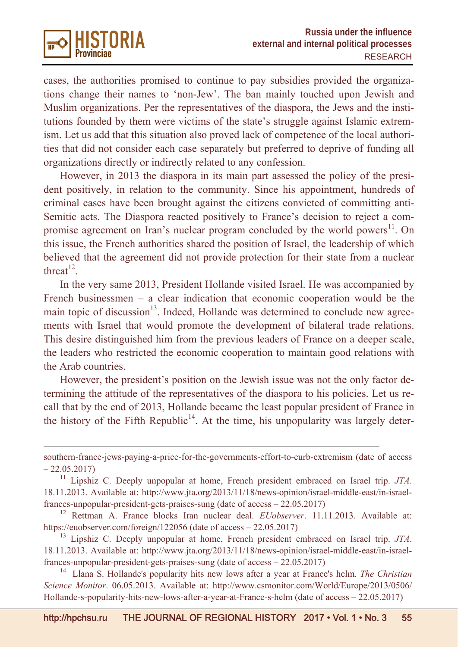

 $\overline{a}$ 

cases, the authorities promised to continue to pay subsidies provided the organizations change their names to 'non-Jew'. The ban mainly touched upon Jewish and Muslim organizations. Per the representatives of the diaspora, the Jews and the institutions founded by them were victims of the state's struggle against Islamic extremism. Let us add that this situation also proved lack of competence of the local authorities that did not consider each case separately but preferred to deprive of funding all organizations directly or indirectly related to any confession.

However, in 2013 the diaspora in its main part assessed the policy of the president positively, in relation to the community. Since his appointment, hundreds of criminal cases have been brought against the citizens convicted of committing anti-Semitic acts. The Diaspora reacted positively to France's decision to reject a compromise agreement on Iran's nuclear program concluded by the world powers<sup>11</sup>. On this issue, the French authorities shared the position of Israel, the leadership of which believed that the agreement did not provide protection for their state from a nuclear threat $12$ .

In the very same 2013, President Hollande visited Israel. He was accompanied by French businessmen – a clear indication that economic cooperation would be the main topic of discussion<sup>13</sup>. Indeed, Hollande was determined to conclude new agreements with Israel that would promote the development of bilateral trade relations. This desire distinguished him from the previous leaders of France on a deeper scale, the leaders who restricted the economic cooperation to maintain good relations with the Arab countries.

However, the president's position on the Jewish issue was not the only factor determining the attitude of the representatives of the diaspora to his policies. Let us recall that by the end of 2013, Hollande became the least popular president of France in the history of the Fifth Republic<sup>14</sup>. At the time, his unpopularity was largely deter-

southern-france-jews-paying-a-price-for-the-governments-effort-to-curb-extremism (date of access  $-22.05.2017$ 

<sup>11</sup> Lipshiz C. Deeply unpopular at home, French president embraced on Israel trip. *JTA*. 18.11.2013. Available at: http://www.jta.org/2013/11/18/news-opinion/israel-middle-east/in-israelfrances-unpopular-president-gets-praises-sung (date of access – 22.05.2017)

<sup>12</sup> Rettman A. France blocks Iran nuclear deal. *EUobserver*. 11.11.2013. Available at: https://euobserver.com/foreign/122056 (date of access – 22.05.2017)

<sup>13</sup> Lipshiz C. Deeply unpopular at home, French president embraced on Israel trip. *JTA*. 18.11.2013. Available at: http://www.jta.org/2013/11/18/news-opinion/israel-middle-east/in-israelfrances-unpopular-president-gets-praises-sung (date of access – 22.05.2017)

<sup>14</sup> Llana S. Hollande's popularity hits new lows after a year at France's helm. *The Christian Science Monitor*. 06.05.2013. Available at: http://www.csmonitor.com/World/Europe/2013/0506/ Hollande-s-popularity-hits-new-lows-after-a-year-at-France-s-helm (date of access – 22.05.2017)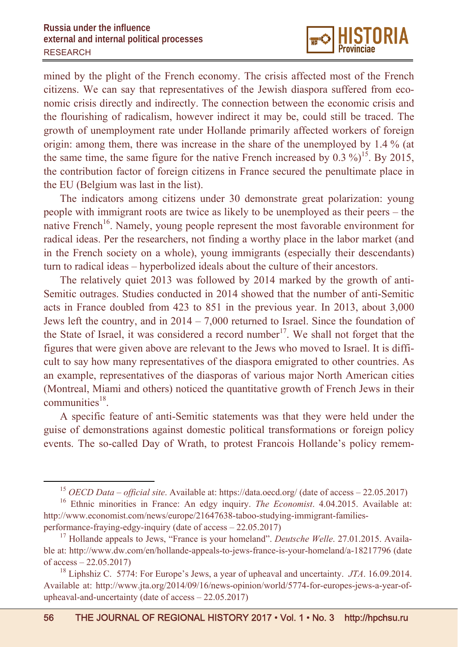

mined by the plight of the French economy. The crisis affected most of the French citizens. We can say that representatives of the Jewish diaspora suffered from economic crisis directly and indirectly. The connection between the economic crisis and the flourishing of radicalism, however indirect it may be, could still be traced. The growth of unemployment rate under Hollande primarily affected workers of foreign origin: among them, there was increase in the share of the unemployed by 1.4 % (at the same time, the same figure for the native French increased by  $0.3 \%$ <sup>15</sup>. By 2015, the contribution factor of foreign citizens in France secured the penultimate place in the EU (Belgium was last in the list).

The indicators among citizens under 30 demonstrate great polarization: young people with immigrant roots are twice as likely to be unemployed as their peers – the native French<sup>16</sup>. Namely, young people represent the most favorable environment for radical ideas. Per the researchers, not finding a worthy place in the labor market (and in the French society on a whole), young immigrants (especially their descendants) turn to radical ideas – hyperbolized ideals about the culture of their ancestors.

The relatively quiet 2013 was followed by 2014 marked by the growth of anti-Semitic outrages. Studies conducted in 2014 showed that the number of anti-Semitic acts in France doubled from 423 to 851 in the previous year. In 2013, about 3,000 Jews left the country, and in 2014 – 7,000 returned to Israel. Since the foundation of the State of Israel, it was considered a record number<sup>17</sup>. We shall not forget that the figures that were given above are relevant to the Jews who moved to Israel. It is difficult to say how many representatives of the diaspora emigrated to other countries. As an example, representatives of the diasporas of various major North American cities (Montreal, Miami and others) noticed the quantitative growth of French Jews in their communities $^{18}$ .

A specific feature of anti-Semitic statements was that they were held under the guise of demonstrations against domestic political transformations or foreign policy events. The so-called Day of Wrath, to protest Francois Hollande's policy remem-

<sup>&</sup>lt;sup>15</sup> *OECD Data – official site*. Available at: https://data.oecd.org/ (date of access – 22.05.2017)

<sup>&</sup>lt;sup>16</sup> Ethnic minorities in France: An edgy inquiry. *The Economist*. 4.04.2015. Available at: http://www.economist.com/news/europe/21647638-taboo-studying-immigrant-familiesperformance-fraying-edgy-inquiry (date of access – 22.05.2017)

<sup>&</sup>lt;sup>17</sup> Hollande appeals to Jews, "France is your homeland". *Deutsche Welle*. 27.01.2015. Available at: http://www.dw.com/en/hollande-appeals-to-jews-france-is-your-homeland/a-18217796 (date of  $access - 22.05.2017$ 

<sup>18</sup> Liphshiz C. 5774: For Europe's Jews, a year of upheaval and uncertainty. *JTA*. 16.09.2014. Available at: http://www.jta.org/2014/09/16/news-opinion/world/5774-for-europes-jews-a-year-ofupheaval-and-uncertainty (date of access – 22.05.2017)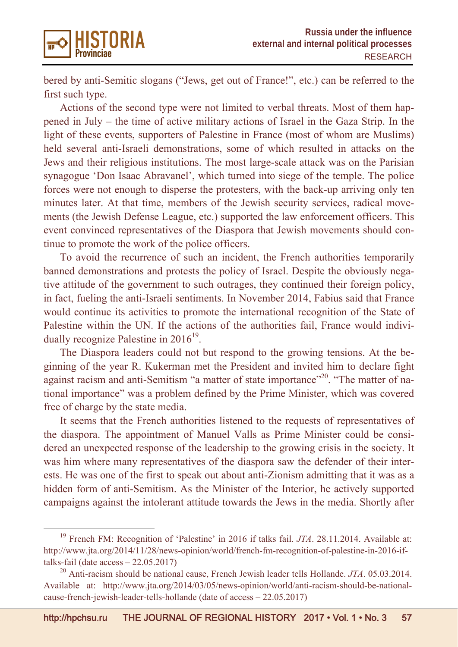

bered by anti-Semitic slogans ("Jews, get out of France!", etc.) can be referred to the first such type.

Actions of the second type were not limited to verbal threats. Most of them happened in July – the time of active military actions of Israel in the Gaza Strip. In the light of these events, supporters of Palestine in France (most of whom are Muslims) held several anti-Israeli demonstrations, some of which resulted in attacks on the Jews and their religious institutions. The most large-scale attack was on the Parisian synagogue 'Don Isaac Abravanel', which turned into siege of the temple. The police forces were not enough to disperse the protesters, with the back-up arriving only ten minutes later. At that time, members of the Jewish security services, radical movements (the Jewish Defense League, etc.) supported the law enforcement officers. This event convinced representatives of the Diaspora that Jewish movements should continue to promote the work of the police officers.

To avoid the recurrence of such an incident, the French authorities temporarily banned demonstrations and protests the policy of Israel. Despite the obviously negative attitude of the government to such outrages, they continued their foreign policy, in fact, fueling the anti-Israeli sentiments. In November 2014, Fabius said that France would continue its activities to promote the international recognition of the State of Palestine within the UN. If the actions of the authorities fail, France would individually recognize Palestine in  $2016^{19}$ .

The Diaspora leaders could not but respond to the growing tensions. At the beginning of the year R. Kukerman met the President and invited him to declare fight against racism and anti-Semitism "a matter of state importance"<sup>20</sup>. "The matter of national importance" was a problem defined by the Prime Minister, which was covered free of charge by the state media.

It seems that the French authorities listened to the requests of representatives of the diaspora. The appointment of Manuel Valls as Prime Minister could be considered an unexpected response of the leadership to the growing crisis in the society. It was him where many representatives of the diaspora saw the defender of their interests. He was one of the first to speak out about anti-Zionism admitting that it was as a hidden form of anti-Semitism. As the Minister of the Interior, he actively supported campaigns against the intolerant attitude towards the Jews in the media. Shortly after

<sup>&</sup>lt;sup>19</sup> French FM: Recognition of 'Palestine' in 2016 if talks fail. *JTA*. 28.11.2014. Available at: http://www.jta.org/2014/11/28/news-opinion/world/french-fm-recognition-of-palestine-in-2016-iftalks-fail (date access – 22.05.2017)

<sup>20</sup> Anti-racism should be national cause, French Jewish leader tells Hollande. *JTA*. 05.03.2014. Available at: http://www.jta.org/2014/03/05/news-opinion/world/anti-racism-should-be-nationalcause-french-jewish-leader-tells-hollande (date of access – 22.05.2017)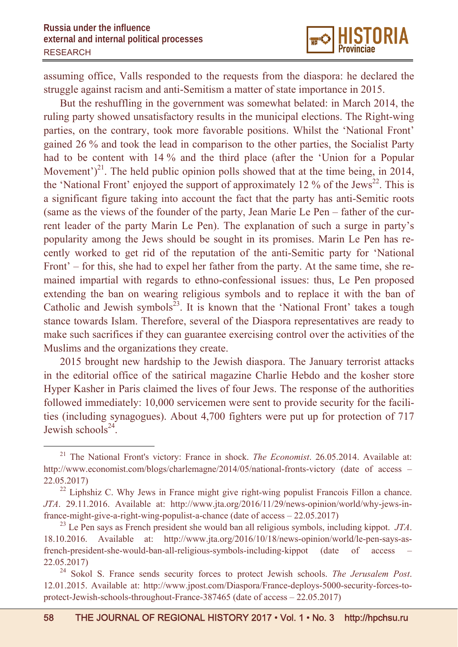

assuming office, Valls responded to the requests from the diaspora: he declared the struggle against racism and anti-Semitism a matter of state importance in 2015.

But the reshuffling in the government was somewhat belated: in March 2014, the ruling party showed unsatisfactory results in the municipal elections. The Right-wing parties, on the contrary, took more favorable positions. Whilst the 'National Front' gained 26 % and took the lead in comparison to the other parties, the Socialist Party had to be content with 14 % and the third place (after the 'Union for a Popular Movement' $)^{21}$ . The held public opinion polls showed that at the time being, in 2014, the 'National Front' enjoyed the support of approximately 12 % of the Jews<sup>22</sup>. This is a significant figure taking into account the fact that the party has anti-Semitic roots (same as the views of the founder of the party, Jean Marie Le Pen – father of the current leader of the party Marin Le Pen). The explanation of such a surge in party's popularity among the Jews should be sought in its promises. Marin Le Pen has recently worked to get rid of the reputation of the anti-Semitic party for 'National Front' – for this, she had to expel her father from the party. At the same time, she remained impartial with regards to ethno-confessional issues: thus, Le Pen proposed extending the ban on wearing religious symbols and to replace it with the ban of Catholic and Jewish symbols<sup>23</sup>. It is known that the 'National Front' takes a tough stance towards Islam. Therefore, several of the Diaspora representatives are ready to make such sacrifices if they can guarantee exercising control over the activities of the Muslims and the organizations they create.

2015 brought new hardship to the Jewish diaspora. The January terrorist attacks in the editorial office of the satirical magazine Charlie Hebdo and the kosher store Hyper Kasher in Paris claimed the lives of four Jews. The response of the authorities followed immediately: 10,000 servicemen were sent to provide security for the facilities (including synagogues). About 4,700 fighters were put up for protection of 717 Jewish schools $^{24}$ .

 <sup>21</sup> The National Front's victory: France in shock. *The Economist*. 26.05.2014. Available at: http://www.economist.com/blogs/charlemagne/2014/05/national-fronts-victory (date of access – 22.05.2017)

<sup>&</sup>lt;sup>22</sup> Liphshiz C. Why Jews in France might give right-wing populist Francois Fillon a chance. *JTA*. 29.11.2016. Available at: http://www.jta.org/2016/11/29/news-opinion/world/why-jews-infrance-might-give-a-right-wing-populist-a-chance (date of access – 22.05.2017)

<sup>23</sup> Le Pen says as French president she would ban all religious symbols, including kippot. *JTA*. 18.10.2016. Available at: http://www.jta.org/2016/10/18/news-opinion/world/le-pen-says-asfrench-president-she-would-ban-all-religious-symbols-including-kippot (date of access – 22.05.2017)

<sup>24</sup> Sokol S. France sends security forces to protect Jewish schools. *The Jerusalem Post*. 12.01.2015. Available at: http://www.jpost.com/Diaspora/France-deploys-5000-security-forces-toprotect-Jewish-schools-throughout-France-387465 (date of access – 22.05.2017)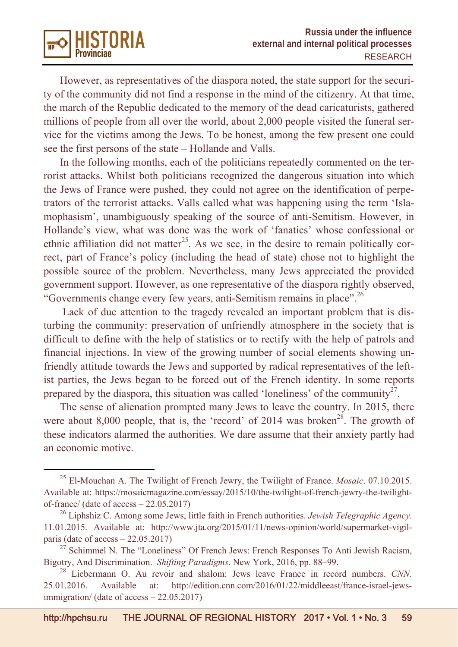However, as representatives of the diaspora noted, the state support for the security of the community did not find a response in the mind of the citizenry. At that time, the march of the Republic dedicated to the memory of the dead caricaturists, gathered millions of people from all over the world, about 2,000 people visited the funeral service for the victims among the Jews. To be honest, among the few present one could see the first persons of the state – Hollande and Valls.

**ISTORIA** 

In the following months, each of the politicians repeatedly commented on the terrorist attacks. Whilst both politicians recognized the dangerous situation into which the Jews of France were pushed, they could not agree on the identification of perpetrators of the terrorist attacks. Valls called what was happening using the term 'Islamophasism', unambiguously speaking of the source of anti-Semitism. However, in Hollande's view, what was done was the work of 'fanatics' whose confessional or ethnic affiliation did not matter<sup>25</sup>. As we see, in the desire to remain politically correct, part of France's policy (including the head of state) chose not to highlight the possible source of the problem. Nevertheless, many Jews appreciated the provided government support. However, as one representative of the diaspora rightly observed, "Governments change every few years, anti-Semitism remains in place".<sup>26</sup>

 Lack of due attention to the tragedy revealed an important problem that is disturbing the community: preservation of unfriendly atmosphere in the society that is difficult to define with the help of statistics or to rectify with the help of patrols and financial injections. In view of the growing number of social elements showing unfriendly attitude towards the Jews and supported by radical representatives of the leftist parties, the Jews began to be forced out of the French identity. In some reports prepared by the diaspora, this situation was called 'loneliness' of the community<sup>27</sup>.

The sense of alienation prompted many Jews to leave the country. In 2015, there were about 8,000 people, that is, the 'record' of  $2014$  was broken<sup>28</sup>. The growth of these indicators alarmed the authorities. We dare assume that their anxiety partly had an economic motive.

 <sup>25</sup> El-Mouchan A. The Twilight of French Jewry, the Twilight of France. *Mosaic*. 07.10.2015. Available at: https://mosaicmagazine.com/essay/2015/10/the-twilight-of-french-jewry-the-twilightof-france/ (date of access – 22.05.2017)

<sup>26</sup> Liphshiz C. Among some Jews, little faith in French authorities. *Jewish Telegraphic Agency*. 11.01.2015. Available at: http://www.jta.org/2015/01/11/news-opinion/world/supermarket-vigilparis (date of access – 22.05.2017)

 $27$  Schimmel N. The "Loneliness" Of French Jews: French Responses To Anti Jewish Racism, Bigotry, And Discrimination. *Shifting Paradigms*. New York, 2016, pp. 88–99.

<sup>28</sup> Liebermann O. Au revoir and shalom: Jews leave France in record numbers. *CNN*. 25.01.2016. Available at: http://edition.cnn.com/2016/01/22/middleeast/france-israel-jewsimmigration/ (date of access – 22.05.2017)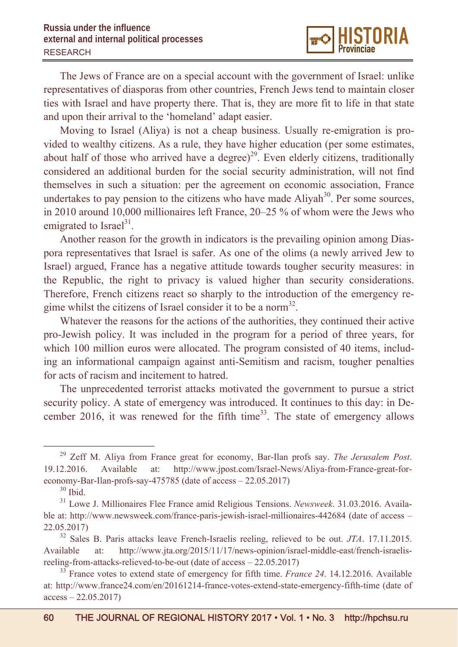The Jews of France are on a special account with the government of Israel: unlike representatives of diasporas from other countries, French Jews tend to maintain closer ties with Israel and have property there. That is, they are more fit to life in that state and upon their arrival to the 'homeland' adapt easier.

Moving to Israel (Aliya) is not a cheap business. Usually re-emigration is provided to wealthy citizens. As a rule, they have higher education (per some estimates, about half of those who arrived have a degree)<sup>29</sup>. Even elderly citizens, traditionally considered an additional burden for the social security administration, will not find themselves in such a situation: per the agreement on economic association, France undertakes to pay pension to the citizens who have made  $\text{Aliyah}^{30}$ . Per some sources, in 2010 around 10,000 millionaires left France, 20–25 % of whom were the Jews who emigrated to Israel $^{31}$ .

Another reason for the growth in indicators is the prevailing opinion among Diaspora representatives that Israel is safer. As one of the olims (a newly arrived Jew to Israel) argued, France has a negative attitude towards tougher security measures: in the Republic, the right to privacy is valued higher than security considerations. Therefore, French citizens react so sharply to the introduction of the emergency regime whilst the citizens of Israel consider it to be a norm<sup>32</sup>.

Whatever the reasons for the actions of the authorities, they continued their active pro-Jewish policy. It was included in the program for a period of three years, for which 100 million euros were allocated. The program consisted of 40 items, including an informational campaign against anti-Semitism and racism, tougher penalties for acts of racism and incitement to hatred.

The unprecedented terrorist attacks motivated the government to pursue a strict security policy. A state of emergency was introduced. It continues to this day: in December 2016, it was renewed for the fifth time<sup>33</sup>. The state of emergency allows

 <sup>29</sup> Zeff M. Aliya from France great for economy, Bar-Ilan profs say. *The Jerusalem Post*. 19.12.2016. Available at: http://www.jpost.com/Israel-News/Aliya-from-France-great-foreconomy-Bar-Ilan-profs-say-475785 (date of access – 22.05.2017)

 $30$  Ibid.

<sup>31</sup> Lowe J. Millionaires Flee France amid Religious Tensions. *Newsweek*. 31.03.2016. Available at: http://www.newsweek.com/france-paris-jewish-israel-millionaires-442684 (date of access – 22.05.2017)

<sup>32</sup> Sales B. Paris attacks leave French-Israelis reeling, relieved to be out. *JTA*. 17.11.2015. Available at: http://www.jta.org/2015/11/17/news-opinion/israel-middle-east/french-israelisreeling-from-attacks-relieved-to-be-out (date of access – 22.05.2017)

<sup>&</sup>lt;sup>33</sup> France votes to extend state of emergency for fifth time. *France 24*. 14.12.2016. Available at: http://www.france24.com/en/20161214-france-votes-extend-state-emergency-fifth-time (date of  $access - 22.05.2017)$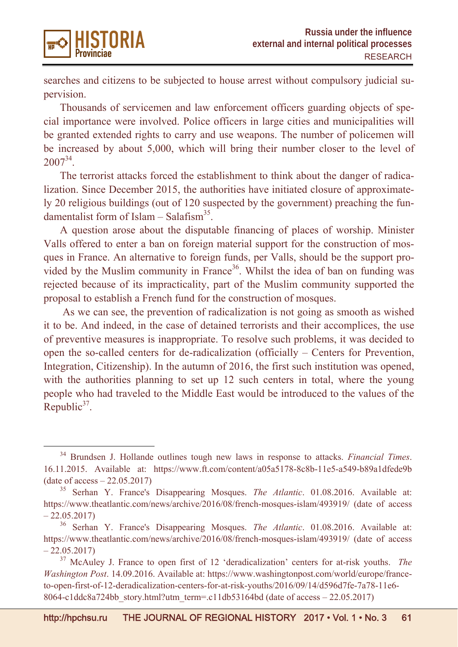

searches and citizens to be subjected to house arrest without compulsory judicial supervision.

Thousands of servicemen and law enforcement officers guarding objects of special importance were involved. Police officers in large cities and municipalities will be granted extended rights to carry and use weapons. The number of policemen will be increased by about 5,000, which will bring their number closer to the level of  $2007^{34}$ .

The terrorist attacks forced the establishment to think about the danger of radicalization. Since December 2015, the authorities have initiated closure of approximately 20 religious buildings (out of 120 suspected by the government) preaching the fundamentalist form of Islam – Salafism<sup>35</sup>.

A question arose about the disputable financing of places of worship. Minister Valls offered to enter a ban on foreign material support for the construction of mosques in France. An alternative to foreign funds, per Valls, should be the support provided by the Muslim community in France<sup>36</sup>. Whilst the idea of ban on funding was rejected because of its impracticality, part of the Muslim community supported the proposal to establish a French fund for the construction of mosques.

 As we can see, the prevention of radicalization is not going as smooth as wished it to be. And indeed, in the case of detained terrorists and their accomplices, the use of preventive measures is inappropriate. To resolve such problems, it was decided to open the so-called centers for de-radicalization (officially – Centers for Prevention, Integration, Citizenship). In the autumn of 2016, the first such institution was opened, with the authorities planning to set up 12 such centers in total, where the young people who had traveled to the Middle East would be introduced to the values of the Republic $37$ .

 <sup>34</sup> Brundsen J. Hollande outlines tough new laws in response to attacks. *Financial Times*. 16.11.2015. Available at: https://www.ft.com/content/a05a5178-8c8b-11e5-a549-b89a1dfede9b (date of access – 22.05.2017)

<sup>35</sup> Serhan Y. France's Disappearing Mosques. *The Atlantic*. 01.08.2016. Available at: https://www.theatlantic.com/news/archive/2016/08/french-mosques-islam/493919/ (date of access  $-22.05.2017$ 

<sup>36</sup> Serhan Y. France's Disappearing Mosques. *The Atlantic*. 01.08.2016. Available at: https://www.theatlantic.com/news/archive/2016/08/french-mosques-islam/493919/ (date of access  $-22.05.2017$ 

<sup>37</sup> McAuley J. France to open first of 12 'deradicalization' centers for at-risk youths. *The Washington Post*. 14.09.2016. Available at: https://www.washingtonpost.com/world/europe/franceto-open-first-of-12-deradicalization-centers-for-at-risk-youths/2016/09/14/d596d7fe-7a78-11e6- 8064-c1ddc8a724bb\_story.html?utm\_term=.c11db53164bd (date of access – 22.05.2017)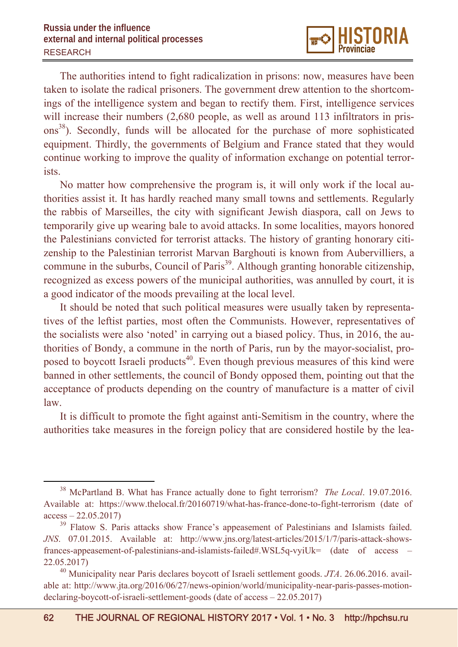The authorities intend to fight radicalization in prisons: now, measures have been taken to isolate the radical prisoners. The government drew attention to the shortcomings of the intelligence system and began to rectify them. First, intelligence services will increase their numbers (2,680 people, as well as around 113 infiltrators in prisons<sup>38</sup>). Secondly, funds will be allocated for the purchase of more sophisticated equipment. Thirdly, the governments of Belgium and France stated that they would continue working to improve the quality of information exchange on potential terrorists.

No matter how comprehensive the program is, it will only work if the local authorities assist it. It has hardly reached many small towns and settlements. Regularly the rabbis of Marseilles, the city with significant Jewish diaspora, call on Jews to temporarily give up wearing bale to avoid attacks. In some localities, mayors honored the Palestinians convicted for terrorist attacks. The history of granting honorary citizenship to the Palestinian terrorist Marvan Barghouti is known from Aubervilliers, a commune in the suburbs, Council of Paris<sup>39</sup>. Although granting honorable citizenship, recognized as excess powers of the municipal authorities, was annulled by court, it is a good indicator of the moods prevailing at the local level.

It should be noted that such political measures were usually taken by representatives of the leftist parties, most often the Communists. However, representatives of the socialists were also 'noted' in carrying out a biased policy. Thus, in 2016, the authorities of Bondy, a commune in the north of Paris, run by the mayor-socialist, proposed to boycott Israeli products<sup>40</sup>. Even though previous measures of this kind were banned in other settlements, the council of Bondy opposed them, pointing out that the acceptance of products depending on the country of manufacture is a matter of civil law.

It is difficult to promote the fight against anti-Semitism in the country, where the authorities take measures in the foreign policy that are considered hostile by the lea-

 <sup>38</sup> McPartland В. What has France actually done to fight terrorism? *The Local*. 19.07.2016. Available at: https://www.thelocal.fr/20160719/what-has-france-done-to-fight-terrorism (date of  $access - 22.05.2017$ 

<sup>&</sup>lt;sup>39</sup> Flatow S. Paris attacks show France's appeasement of Palestinians and Islamists failed. *JNS*. 07.01.2015. Available at: http://www.jns.org/latest-articles/2015/1/7/paris-attack-showsfrances-appeasement-of-palestinians-and-islamists-failed#.WSL5q-vyiUk= (date of access – 22.05.2017)

<sup>40</sup> Municipality near Paris declares boycott of Israeli settlement goods. *JTA*. 26.06.2016. available at: http://www.jta.org/2016/06/27/news-opinion/world/municipality-near-paris-passes-motiondeclaring-boycott-of-israeli-settlement-goods (date of access – 22.05.2017)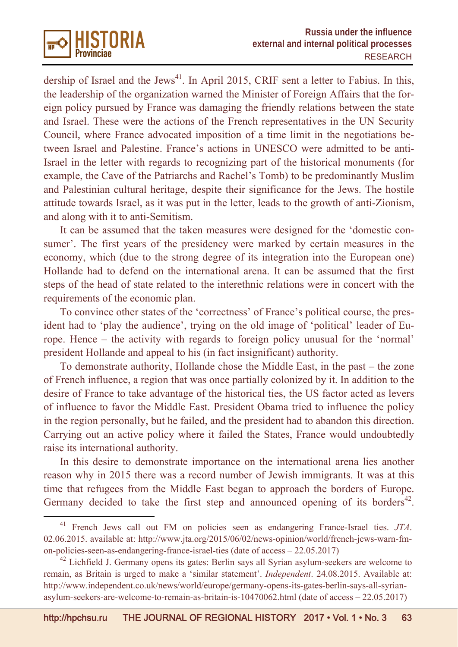

dership of Israel and the Jews<sup>41</sup>. In April 2015, CRIF sent a letter to Fabius. In this, the leadership of the organization warned the Minister of Foreign Affairs that the foreign policy pursued by France was damaging the friendly relations between the state and Israel. These were the actions of the French representatives in the UN Security Council, where France advocated imposition of a time limit in the negotiations between Israel and Palestine. France's actions in UNESCO were admitted to be anti-Israel in the letter with regards to recognizing part of the historical monuments (for example, the Cave of the Patriarchs and Rachel's Tomb) to be predominantly Muslim and Palestinian cultural heritage, despite their significance for the Jews. The hostile attitude towards Israel, as it was put in the letter, leads to the growth of anti-Zionism, and along with it to anti-Semitism.

It can be assumed that the taken measures were designed for the 'domestic consumer'. The first years of the presidency were marked by certain measures in the economy, which (due to the strong degree of its integration into the European one) Hollande had to defend on the international arena. It can be assumed that the first steps of the head of state related to the interethnic relations were in concert with the requirements of the economic plan.

To convince other states of the 'correctness' of France's political course, the president had to 'play the audience', trying on the old image of 'political' leader of Europe. Hence – the activity with regards to foreign policy unusual for the 'normal' president Hollande and appeal to his (in fact insignificant) authority.

To demonstrate authority, Hollande chose the Middle East, in the past – the zone of French influence, a region that was once partially colonized by it. In addition to the desire of France to take advantage of the historical ties, the US factor acted as levers of influence to favor the Middle East. President Obama tried to influence the policy in the region personally, but he failed, and the president had to abandon this direction. Carrying out an active policy where it failed the States, France would undoubtedly raise its international authority.

In this desire to demonstrate importance on the international arena lies another reason why in 2015 there was a record number of Jewish immigrants. It was at this time that refugees from the Middle East began to approach the borders of Europe. Germany decided to take the first step and announced opening of its borders<sup>42</sup>.

 <sup>41</sup> French Jews call out FM on policies seen as endangering France-Israel ties. *JTA*. 02.06.2015. available at: http://www.jta.org/2015/06/02/news-opinion/world/french-jews-warn-fmon-policies-seen-as-endangering-france-israel-ties (date of access – 22.05.2017)

 $42$  Lichfield J. Germany opens its gates: Berlin says all Syrian asylum-seekers are welcome to remain, as Britain is urged to make a 'similar statement'. *Independent*. 24.08.2015. Available at: http://www.independent.co.uk/news/world/europe/germany-opens-its-gates-berlin-says-all-syrianasylum-seekers-are-welcome-to-remain-as-britain-is-10470062.html (date of access – 22.05.2017)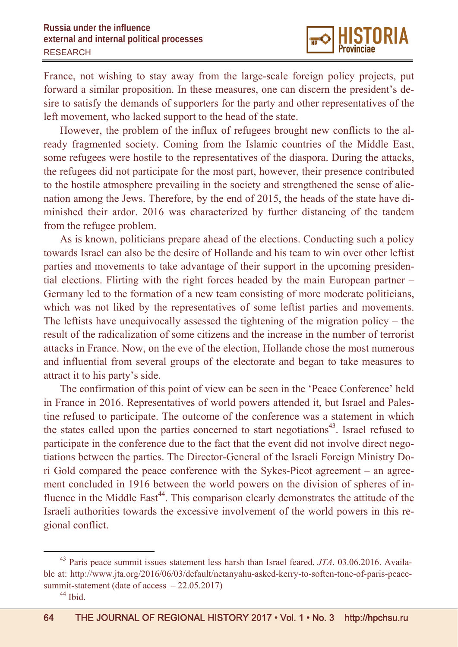France, not wishing to stay away from the large-scale foreign policy projects, put forward a similar proposition. In these measures, one can discern the president's desire to satisfy the demands of supporters for the party and other representatives of the left movement, who lacked support to the head of the state.

However, the problem of the influx of refugees brought new conflicts to the already fragmented society. Coming from the Islamic countries of the Middle East, some refugees were hostile to the representatives of the diaspora. During the attacks, the refugees did not participate for the most part, however, their presence contributed to the hostile atmosphere prevailing in the society and strengthened the sense of alienation among the Jews. Therefore, by the end of 2015, the heads of the state have diminished their ardor. 2016 was characterized by further distancing of the tandem from the refugee problem.

As is known, politicians prepare ahead of the elections. Conducting such a policy towards Israel can also be the desire of Hollande and his team to win over other leftist parties and movements to take advantage of their support in the upcoming presidential elections. Flirting with the right forces headed by the main European partner – Germany led to the formation of a new team consisting of more moderate politicians, which was not liked by the representatives of some leftist parties and movements. The leftists have unequivocally assessed the tightening of the migration policy – the result of the radicalization of some citizens and the increase in the number of terrorist attacks in France. Now, on the eve of the election, Hollande chose the most numerous and influential from several groups of the electorate and began to take measures to attract it to his party's side.

The confirmation of this point of view can be seen in the 'Peace Conference' held in France in 2016. Representatives of world powers attended it, but Israel and Palestine refused to participate. The outcome of the conference was a statement in which the states called upon the parties concerned to start negotiations<sup>43</sup>. Israel refused to participate in the conference due to the fact that the event did not involve direct negotiations between the parties. The Director-General of the Israeli Foreign Ministry Dori Gold compared the peace conference with the Sykes-Picot agreement – an agreement concluded in 1916 between the world powers on the division of spheres of influence in the Middle East<sup>44</sup>. This comparison clearly demonstrates the attitude of the Israeli authorities towards the excessive involvement of the world powers in this regional conflict.

 <sup>43</sup> Paris peace summit issues statement less harsh than Israel feared. *JTA*. 03.06.2016. Available at: http://www.jta.org/2016/06/03/default/netanyahu-asked-kerry-to-soften-tone-of-paris-peacesummit-statement (date of access - 22.05.2017)

<sup>44</sup> Ibid.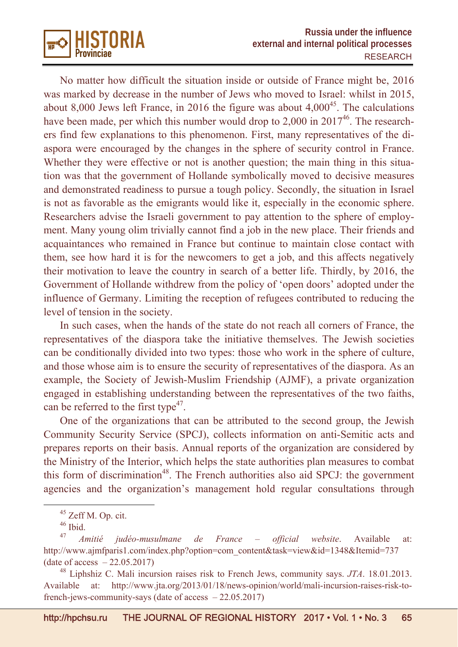

No matter how difficult the situation inside or outside of France might be, 2016 was marked by decrease in the number of Jews who moved to Israel: whilst in 2015, about 8,000 Jews left France, in 2016 the figure was about  $4,000^{45}$ . The calculations have been made, per which this number would drop to  $2,000$  in  $2017^{46}$ . The researchers find few explanations to this phenomenon. First, many representatives of the diaspora were encouraged by the changes in the sphere of security control in France. Whether they were effective or not is another question; the main thing in this situation was that the government of Hollande symbolically moved to decisive measures and demonstrated readiness to pursue a tough policy. Secondly, the situation in Israel is not as favorable as the emigrants would like it, especially in the economic sphere. Researchers advise the Israeli government to pay attention to the sphere of employment. Many young olim trivially cannot find a job in the new place. Their friends and acquaintances who remained in France but continue to maintain close contact with them, see how hard it is for the newcomers to get a job, and this affects negatively their motivation to leave the country in search of a better life. Thirdly, by 2016, the Government of Hollande withdrew from the policy of 'open doors' adopted under the influence of Germany. Limiting the reception of refugees contributed to reducing the level of tension in the society.

In such cases, when the hands of the state do not reach all corners of France, the representatives of the diaspora take the initiative themselves. The Jewish societies can be conditionally divided into two types: those who work in the sphere of culture, and those whose aim is to ensure the security of representatives of the diaspora. As an example, the Society of Jewish-Muslim Friendship (AJMF), a private organization engaged in establishing understanding between the representatives of the two faiths, can be referred to the first type<sup>47</sup>.

One of the organizations that can be attributed to the second group, the Jewish Community Security Service (SPCJ), collects information on anti-Semitic acts and prepares reports on their basis. Annual reports of the organization are considered by the Ministry of the Interior, which helps the state authorities plan measures to combat this form of discrimination<sup>48</sup>. The French authorities also aid SPCJ: the government agencies and the organization's management hold regular consultations through

<sup>&</sup>lt;sup>45</sup> Zeff M. Op. cit.

 $46$  Ibid.

<sup>47</sup> *Amitié judéo-musulmane de France – official website*. Available at: http://www.ajmfparis1.com/index.php?option=com\_content&task=view&id=1348&Itemid=737 (date of access  $-22.05.2017$ )

<sup>48</sup> Liphshiz C. Mali incursion raises risk to French Jews, community says. *JTA*. 18.01.2013. Available at: http://www.jta.org/2013/01/18/news-opinion/world/mali-incursion-raises-risk-tofrench-jews-community-says (date of access – 22.05.2017)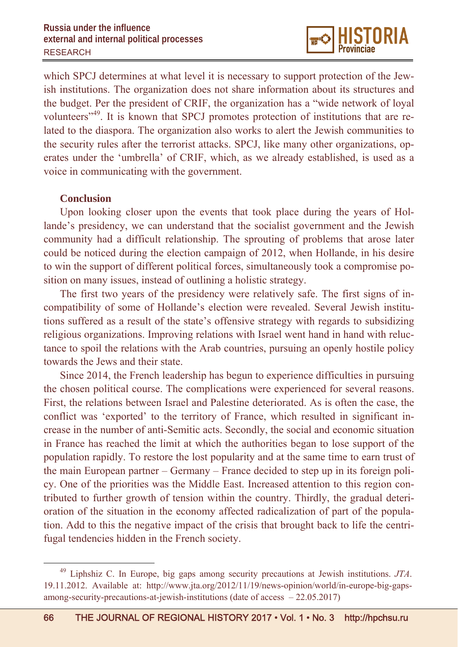which SPCJ determines at what level it is necessary to support protection of the Jewish institutions. The organization does not share information about its structures and the budget. Per the president of CRIF, the organization has a "wide network of loyal volunteers"49. It is known that SPCJ promotes protection of institutions that are related to the diaspora. The organization also works to alert the Jewish communities to the security rules after the terrorist attacks. SPCJ, like many other organizations, operates under the 'umbrella' of CRIF, which, as we already established, is used as a voice in communicating with the government.

## **Conclusion**

Upon looking closer upon the events that took place during the years of Hollande's presidency, we can understand that the socialist government and the Jewish community had a difficult relationship. The sprouting of problems that arose later could be noticed during the election campaign of 2012, when Hollande, in his desire to win the support of different political forces, simultaneously took a compromise position on many issues, instead of outlining a holistic strategy.

The first two years of the presidency were relatively safe. The first signs of incompatibility of some of Hollande's election were revealed. Several Jewish institutions suffered as a result of the state's offensive strategy with regards to subsidizing religious organizations. Improving relations with Israel went hand in hand with reluctance to spoil the relations with the Arab countries, pursuing an openly hostile policy towards the Jews and their state.

Since 2014, the French leadership has begun to experience difficulties in pursuing the chosen political course. The complications were experienced for several reasons. First, the relations between Israel and Palestine deteriorated. As is often the case, the conflict was 'exported' to the territory of France, which resulted in significant increase in the number of anti-Semitic acts. Secondly, the social and economic situation in France has reached the limit at which the authorities began to lose support of the population rapidly. To restore the lost popularity and at the same time to earn trust of the main European partner – Germany – France decided to step up in its foreign policy. One of the priorities was the Middle East. Increased attention to this region contributed to further growth of tension within the country. Thirdly, the gradual deterioration of the situation in the economy affected radicalization of part of the population. Add to this the negative impact of the crisis that brought back to life the centrifugal tendencies hidden in the French society.

 <sup>49</sup> Liphshiz C. In Europe, big gaps among security precautions at Jewish institutions. *JTA*. 19.11.2012. Available at: http://www.jta.org/2012/11/19/news-opinion/world/in-europe-big-gapsamong-security-precautions-at-jewish-institutions (date of access – 22.05.2017)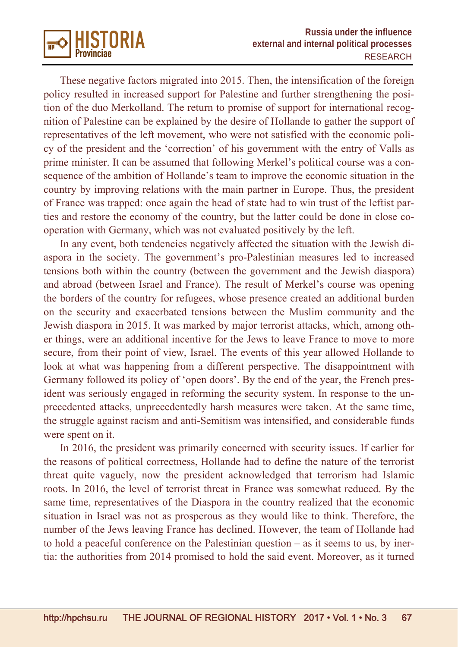

These negative factors migrated into 2015. Then, the intensification of the foreign policy resulted in increased support for Palestine and further strengthening the position of the duo Merkolland. The return to promise of support for international recognition of Palestine can be explained by the desire of Hollande to gather the support of representatives of the left movement, who were not satisfied with the economic policy of the president and the 'correction' of his government with the entry of Valls as prime minister. It can be assumed that following Merkel's political course was a consequence of the ambition of Hollande's team to improve the economic situation in the country by improving relations with the main partner in Europe. Thus, the president of France was trapped: once again the head of state had to win trust of the leftist parties and restore the economy of the country, but the latter could be done in close cooperation with Germany, which was not evaluated positively by the left.

In any event, both tendencies negatively affected the situation with the Jewish diaspora in the society. The government's pro-Palestinian measures led to increased tensions both within the country (between the government and the Jewish diaspora) and abroad (between Israel and France). The result of Merkel's course was opening the borders of the country for refugees, whose presence created an additional burden on the security and exacerbated tensions between the Muslim community and the Jewish diaspora in 2015. It was marked by major terrorist attacks, which, among other things, were an additional incentive for the Jews to leave France to move to more secure, from their point of view, Israel. The events of this year allowed Hollande to look at what was happening from a different perspective. The disappointment with Germany followed its policy of 'open doors'. By the end of the year, the French president was seriously engaged in reforming the security system. In response to the unprecedented attacks, unprecedentedly harsh measures were taken. At the same time, the struggle against racism and anti-Semitism was intensified, and considerable funds were spent on it.

In 2016, the president was primarily concerned with security issues. If earlier for the reasons of political correctness, Hollande had to define the nature of the terrorist threat quite vaguely, now the president acknowledged that terrorism had Islamic roots. In 2016, the level of terrorist threat in France was somewhat reduced. By the same time, representatives of the Diaspora in the country realized that the economic situation in Israel was not as prosperous as they would like to think. Therefore, the number of the Jews leaving France has declined. However, the team of Hollande had to hold a peaceful conference on the Palestinian question – as it seems to us, by inertia: the authorities from 2014 promised to hold the said event. Moreover, as it turned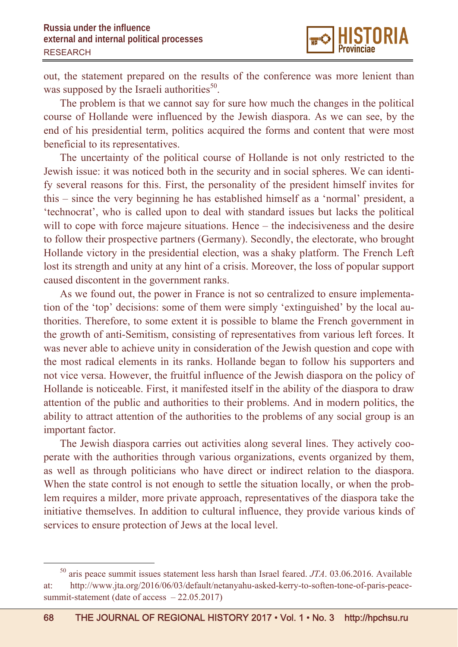out, the statement prepared on the results of the conference was more lenient than was supposed by the Israeli authorities<sup>50</sup>.

The problem is that we cannot say for sure how much the changes in the political course of Hollande were influenced by the Jewish diaspora. As we can see, by the end of his presidential term, politics acquired the forms and content that were most beneficial to its representatives.

The uncertainty of the political course of Hollande is not only restricted to the Jewish issue: it was noticed both in the security and in social spheres. We can identify several reasons for this. First, the personality of the president himself invites for this – since the very beginning he has established himself as a 'normal' president, a 'technocrat', who is called upon to deal with standard issues but lacks the political will to cope with force majeure situations. Hence – the indecisiveness and the desire to follow their prospective partners (Germany). Secondly, the electorate, who brought Hollande victory in the presidential election, was a shaky platform. The French Left lost its strength and unity at any hint of a crisis. Moreover, the loss of popular support caused discontent in the government ranks.

As we found out, the power in France is not so centralized to ensure implementation of the 'top' decisions: some of them were simply 'extinguished' by the local authorities. Therefore, to some extent it is possible to blame the French government in the growth of anti-Semitism, consisting of representatives from various left forces. It was never able to achieve unity in consideration of the Jewish question and cope with the most radical elements in its ranks. Hollande began to follow his supporters and not vice versa. However, the fruitful influence of the Jewish diaspora on the policy of Hollande is noticeable. First, it manifested itself in the ability of the diaspora to draw attention of the public and authorities to their problems. And in modern politics, the ability to attract attention of the authorities to the problems of any social group is an important factor.

The Jewish diaspora carries out activities along several lines. They actively cooperate with the authorities through various organizations, events organized by them, as well as through politicians who have direct or indirect relation to the diaspora. When the state control is not enough to settle the situation locally, or when the problem requires a milder, more private approach, representatives of the diaspora take the initiative themselves. In addition to cultural influence, they provide various kinds of services to ensure protection of Jews at the local level.

 <sup>50</sup> aris peace summit issues statement less harsh than Israel feared. *JTA*. 03.06.2016. Available at: http://www.jta.org/2016/06/03/default/netanyahu-asked-kerry-to-soften-tone-of-paris-peacesummit-statement (date of access - 22.05.2017)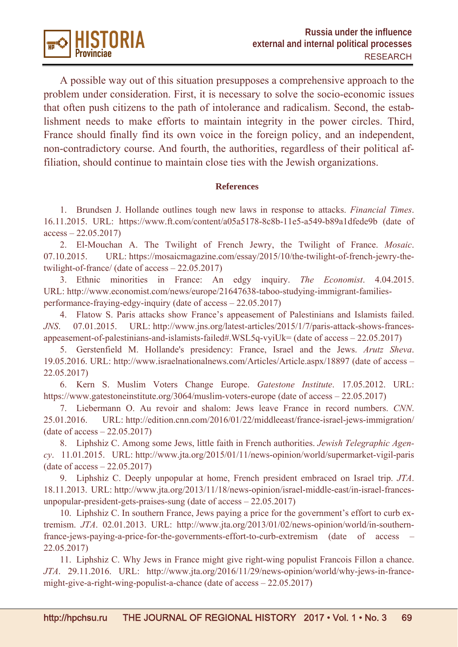

A possible way out of this situation presupposes a comprehensive approach to the problem under consideration. First, it is necessary to solve the socio-economic issues that often push citizens to the path of intolerance and radicalism. Second, the establishment needs to make efforts to maintain integrity in the power circles. Third, France should finally find its own voice in the foreign policy, and an independent, non-contradictory course. And fourth, the authorities, regardless of their political affiliation, should continue to maintain close ties with the Jewish organizations.

#### **References**

1. Brundsen J. Hollande outlines tough new laws in response to attacks. *Financial Times*. 16.11.2015. URL: https://www.ft.com/content/a05a5178-8c8b-11e5-a549-b89a1dfede9b (date of  $access - 22.05.2017$ 

2. El-Mouchan A. The Twilight of French Jewry, the Twilight of France. *Mosaic*. 07.10.2015. URL: https://mosaicmagazine.com/essay/2015/10/the-twilight-of-french-jewry-thetwilight-of-france/ (date of access – 22.05.2017)

3. Ethnic minorities in France: An edgy inquiry. *The Economist*. 4.04.2015. URL: http://www.economist.com/news/europe/21647638-taboo-studying-immigrant-familiesperformance-fraying-edgy-inquiry (date of access – 22.05.2017)

4. Flatow S. Paris attacks show France's appeasement of Palestinians and Islamists failed. *JNS*. 07.01.2015. URL: http://www.jns.org/latest-articles/2015/1/7/paris-attack-shows-francesappeasement-of-palestinians-and-islamists-failed#.WSL5q-vyiUk= (date of access – 22.05.2017)

5. Gerstenfield M. Hollande's presidency: France, Israel and the Jews. *Arutz Sheva*. 19.05.2016. URL: http://www.israelnationalnews.com/Articles/Article.aspx/18897 (date of access – 22.05.2017)

6. Kern S. Muslim Voters Change Europe. *Gatestone Institute*. 17.05.2012. URL: https://www.gatestoneinstitute.org/3064/muslim-voters-europe (date of access – 22.05.2017)

7. Liebermann O. Au revoir and shalom: Jews leave France in record numbers. *CNN*. 25.01.2016. URL: http://edition.cnn.com/2016/01/22/middleeast/france-israel-jews-immigration/ (date of access – 22.05.2017)

8. Liphshiz C. Among some Jews, little faith in French authorities. *Jewish Telegraphic Agency*. 11.01.2015. URL: http://www.jta.org/2015/01/11/news-opinion/world/supermarket-vigil-paris (date of access – 22.05.2017)

9. Liphshiz C. Deeply unpopular at home, French president embraced on Israel trip. *JTA*. 18.11.2013. URL: http://www.jta.org/2013/11/18/news-opinion/israel-middle-east/in-israel-francesunpopular-president-gets-praises-sung (date of access – 22.05.2017)

10. Liphshiz C. In southern France, Jews paying a price for the government's effort to curb extremism. *JTA*. 02.01.2013. URL: http://www.jta.org/2013/01/02/news-opinion/world/in-southernfrance-jews-paying-a-price-for-the-governments-effort-to-curb-extremism (date of access – 22.05.2017)

11. Liphshiz C. Why Jews in France might give right-wing populist Francois Fillon a chance. *JTA*. 29.11.2016. URL: http://www.jta.org/2016/11/29/news-opinion/world/why-jews-in-francemight-give-a-right-wing-populist-a-chance (date of access – 22.05.2017)